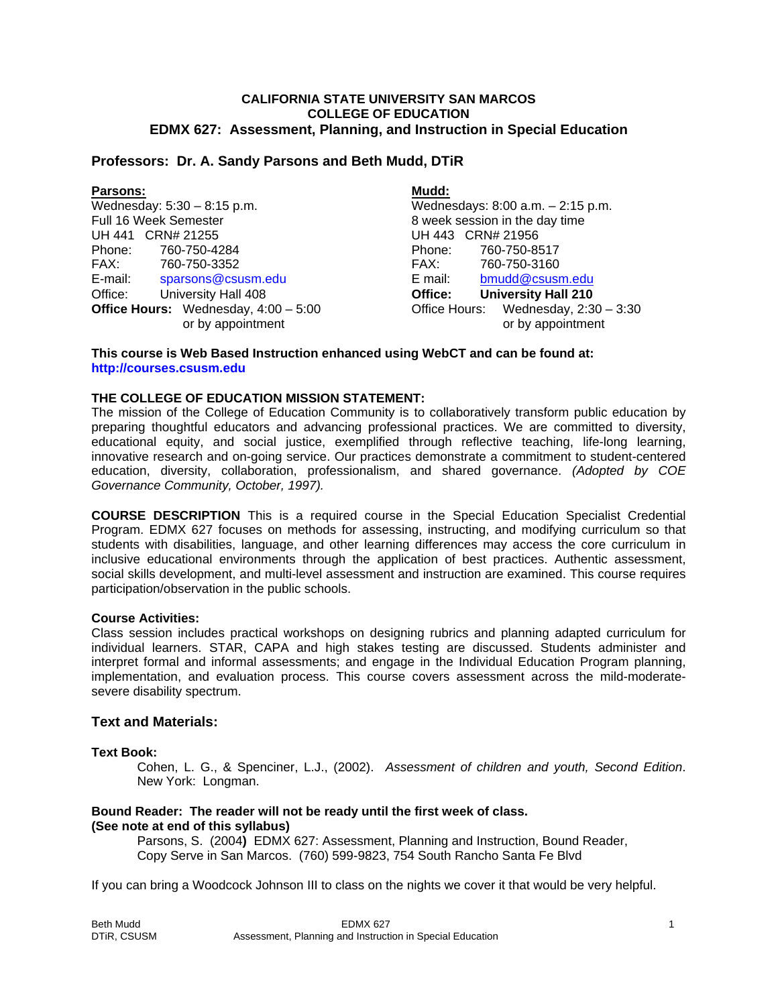#### **CALIFORNIA STATE UNIVERSITY SAN MARCOS COLLEGE OF EDUCATION EDMX 627: Assessment, Planning, and Instruction in Special Education**

# **Professors: Dr. A. Sandy Parsons and Beth Mudd, DTiR**

| <b>Parsons:</b>                               | Mudd:                                 |
|-----------------------------------------------|---------------------------------------|
| Wednesday: $5:30 - 8:15$ p.m.                 | Wednesdays: 8:00 a.m. - 2:15 p.m.     |
| Full 16 Week Semester                         | 8 week session in the day time        |
| UH 441 CRN# 21255                             | UH 443 CRN# 21956                     |
| Phone:<br>760-750-4284                        | Phone:<br>760-750-8517                |
| FAX:<br>760-750-3352                          | 760-750-3160<br>FAX:                  |
| E-mail:<br>sparsons@csusm.edu                 | E mail:<br>bmudd@csusm.edu            |
| University Hall 408<br>Office:                | <b>University Hall 210</b><br>Office: |
| <b>Office Hours:</b> Wednesday, $4:00 - 5:00$ | Office Hours: Wednesday, 2:30 - 3:30  |
| or by appointment                             | or by appointment                     |

#### **This course is Web Based Instruction enhanced using WebCT and can be found at: http://courses.csusm.edu**

# **THE COLLEGE OF EDUCATION MISSION STATEMENT:**

The mission of the College of Education Community is to collaboratively transform public education by preparing thoughtful educators and advancing professional practices. We are committed to diversity, educational equity, and social justice, exemplified through reflective teaching, life-long learning, innovative research and on-going service. Our practices demonstrate a commitment to student-centered education, diversity, collaboration, professionalism, and shared governance. *(Adopted by COE Governance Community, October, 1997).* 

**COURSE DESCRIPTION** This is a required course in the Special Education Specialist Credential Program. EDMX 627 focuses on methods for assessing, instructing, and modifying curriculum so that students with disabilities, language, and other learning differences may access the core curriculum in inclusive educational environments through the application of best practices. Authentic assessment, social skills development, and multi-level assessment and instruction are examined. This course requires participation/observation in the public schools.

# **Course Activities:**

Class session includes practical workshops on designing rubrics and planning adapted curriculum for individual learners. STAR, CAPA and high stakes testing are discussed. Students administer and interpret formal and informal assessments; and engage in the Individual Education Program planning, implementation, and evaluation process. This course covers assessment across the mild-moderatesevere disability spectrum.

#### **Text and Materials:**

#### **Text Book:**

 Cohen, L. G., & Spenciner, L.J., (2002). *Assessment of children and youth, Second Edition*. New York: Longman.

# **Bound Reader: The reader will not be ready until the first week of class. (See note at end of this syllabus)**

 Parsons, S. (2004**)** EDMX 627: Assessment, Planning and Instruction, Bound Reader, Copy Serve in San Marcos. (760) 599-9823, 754 South Rancho Santa Fe Blvd

If you can bring a Woodcock Johnson III to class on the nights we cover it that would be very helpful.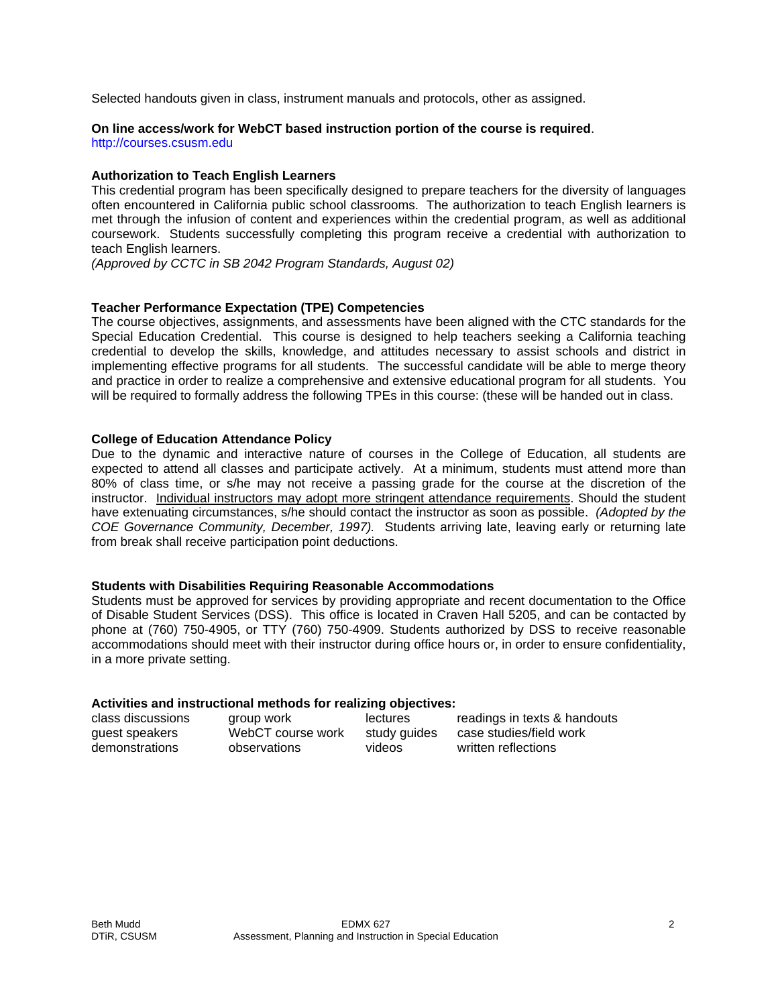Selected handouts given in class, instrument manuals and protocols, other as assigned.

# **On line access/work for WebCT based instruction portion of the course is required**.

http://courses.csusm.edu

### **Authorization to Teach English Learners**

This credential program has been specifically designed to prepare teachers for the diversity of languages often encountered in California public school classrooms. The authorization to teach English learners is met through the infusion of content and experiences within the credential program, as well as additional coursework. Students successfully completing this program receive a credential with authorization to teach English learners.

*(Approved by CCTC in SB 2042 Program Standards, August 02)*

# **Teacher Performance Expectation (TPE) Competencies**

The course objectives, assignments, and assessments have been aligned with the CTC standards for the Special Education Credential. This course is designed to help teachers seeking a California teaching credential to develop the skills, knowledge, and attitudes necessary to assist schools and district in implementing effective programs for all students. The successful candidate will be able to merge theory and practice in order to realize a comprehensive and extensive educational program for all students. You will be required to formally address the following TPEs in this course: (these will be handed out in class.

#### **College of Education Attendance Policy**

Due to the dynamic and interactive nature of courses in the College of Education, all students are expected to attend all classes and participate actively. At a minimum, students must attend more than 80% of class time, or s/he may not receive a passing grade for the course at the discretion of the instructor. Individual instructors may adopt more stringent attendance requirements. Should the student have extenuating circumstances, s/he should contact the instructor as soon as possible. *(Adopted by the COE Governance Community, December, 1997).* Students arriving late, leaving early or returning late from break shall receive participation point deductions.

#### **Students with Disabilities Requiring Reasonable Accommodations**

Students must be approved for services by providing appropriate and recent documentation to the Office of Disable Student Services (DSS). This office is located in Craven Hall 5205, and can be contacted by phone at (760) 750-4905, or TTY (760) 750-4909. Students authorized by DSS to receive reasonable accommodations should meet with their instructor during office hours or, in order to ensure confidentiality, in a more private setting.

#### **Activities and instructional methods for realizing objectives:**

| class discussions | group work        | lectures     | readings in texts & handouts |
|-------------------|-------------------|--------------|------------------------------|
| guest speakers    | WebCT course work | study quides | case studies/field work      |
| demonstrations    | observations      | videos       | written reflections          |
|                   |                   |              |                              |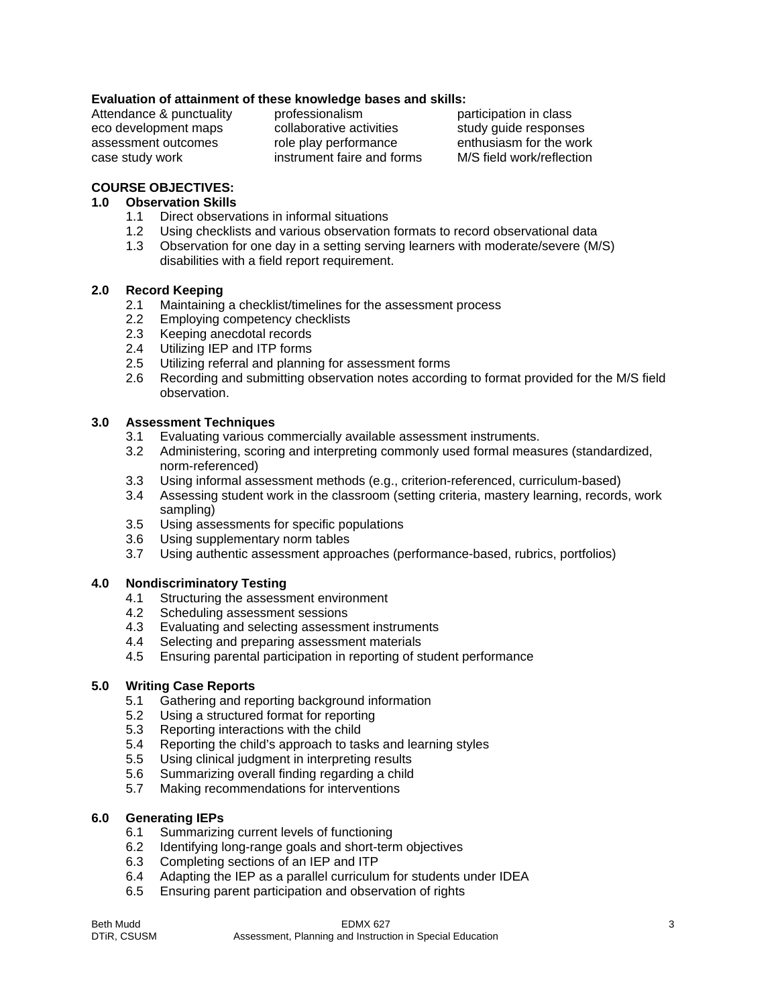# **Evaluation of attainment of these knowledge bases and skills:**

Attendance & punctuality professionalism participation in class

eco development maps and collaborative activities study quide responses assessment outcomes role play performance enthusiasm for the work case study work instrument faire and forms M/S field work/reflection

# **COURSE OBJECTIVES:**

# **1.0 Observation Skills**

- 1.1 Direct observations in informal situations
- 1.2 Using checklists and various observation formats to record observational data
- 1.3 Observation for one day in a setting serving learners with moderate/severe (M/S) disabilities with a field report requirement.

# **2.0 Record Keeping**

- 2.1 Maintaining a checklist/timelines for the assessment process
- 2.2 Employing competency checklists
- 2.3 Keeping anecdotal records
- 2.4 Utilizing IEP and ITP forms
- 2.5 Utilizing referral and planning for assessment forms
- 2.6 Recording and submitting observation notes according to format provided for the M/S field observation.

# **3.0 Assessment Techniques**

- 3.1 Evaluating various commercially available assessment instruments.
- 3.2 Administering, scoring and interpreting commonly used formal measures (standardized, norm-referenced)
- 3.3 Using informal assessment methods (e.g., criterion-referenced, curriculum-based)
- 3.4 Assessing student work in the classroom (setting criteria, mastery learning, records, work sampling)
- 3.5 Using assessments for specific populations
- 3.6 Using supplementary norm tables
- 3.7 Using authentic assessment approaches (performance-based, rubrics, portfolios)

# **4.0 Nondiscriminatory Testing**

- 4.1 Structuring the assessment environment
- 4.2 Scheduling assessment sessions
- 4.3 Evaluating and selecting assessment instruments
- 4.4 Selecting and preparing assessment materials
- 4.5 Ensuring parental participation in reporting of student performance

# **5.0 Writing Case Reports**

- 5.1 Gathering and reporting background information
- 5.2 Using a structured format for reporting
- 5.3 Reporting interactions with the child
- 5.4 Reporting the child's approach to tasks and learning styles
- 5.5 Using clinical judgment in interpreting results
- 5.6 Summarizing overall finding regarding a child
- 5.7 Making recommendations for interventions

# **6.0 Generating IEPs**

- 6.1 Summarizing current levels of functioning
- 6.2 Identifying long-range goals and short-term objectives
- 6.3 Completing sections of an IEP and ITP
- 6.4 Adapting the IEP as a parallel curriculum for students under IDEA
- 6.5 Ensuring parent participation and observation of rights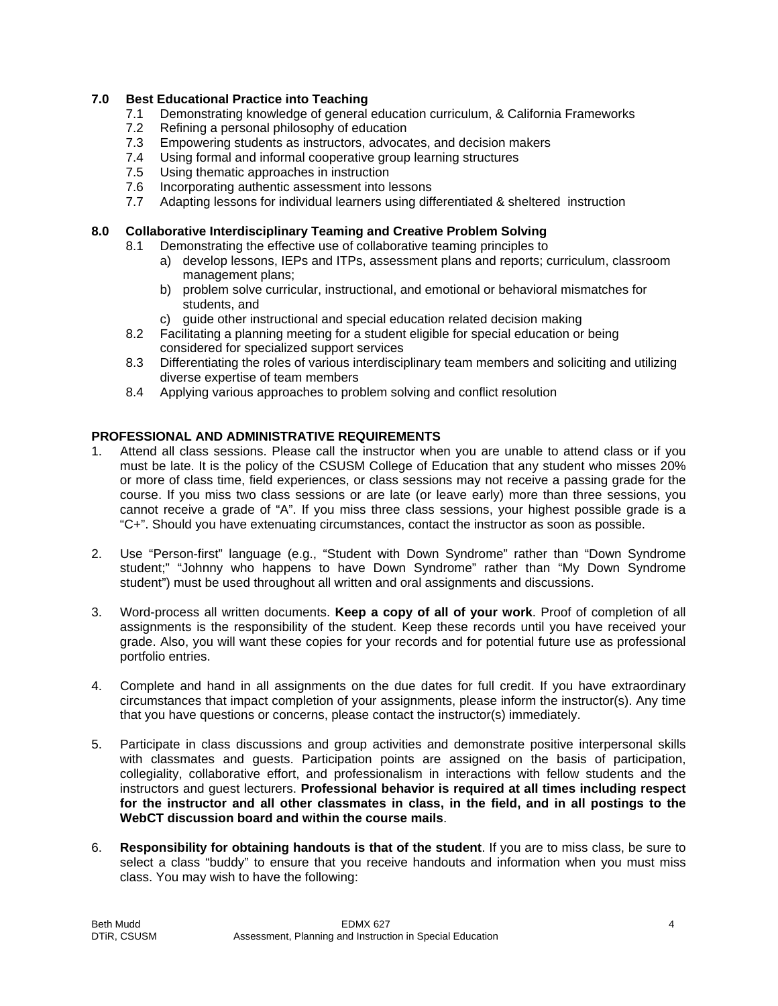# **7.0 Best Educational Practice into Teaching**

- 7.1 Demonstrating knowledge of general education curriculum, & California Frameworks
- 7.2 Refining a personal philosophy of education
- 7.3 Empowering students as instructors, advocates, and decision makers
- 7.4 Using formal and informal cooperative group learning structures
- 7.5 Using thematic approaches in instruction
- 7.6 Incorporating authentic assessment into lessons
- 7.7 Adapting lessons for individual learners using differentiated & sheltered instruction

### **8.0 Collaborative Interdisciplinary Teaming and Creative Problem Solving**

- 8.1 Demonstrating the effective use of collaborative teaming principles to
	- a) develop lessons, IEPs and ITPs, assessment plans and reports; curriculum, classroom management plans;
	- b) problem solve curricular, instructional, and emotional or behavioral mismatches for students, and
	- c) guide other instructional and special education related decision making
- 8.2 Facilitating a planning meeting for a student eligible for special education or being considered for specialized support services
- 8.3 Differentiating the roles of various interdisciplinary team members and soliciting and utilizing diverse expertise of team members
- 8.4 Applying various approaches to problem solving and conflict resolution

# **PROFESSIONAL AND ADMINISTRATIVE REQUIREMENTS**

- 1. Attend all class sessions. Please call the instructor when you are unable to attend class or if you must be late. It is the policy of the CSUSM College of Education that any student who misses 20% or more of class time, field experiences, or class sessions may not receive a passing grade for the course. If you miss two class sessions or are late (or leave early) more than three sessions, you cannot receive a grade of "A". If you miss three class sessions, your highest possible grade is a "C+". Should you have extenuating circumstances, contact the instructor as soon as possible.
- 2. Use "Person-first" language (e.g., "Student with Down Syndrome" rather than "Down Syndrome student;" "Johnny who happens to have Down Syndrome" rather than "My Down Syndrome student") must be used throughout all written and oral assignments and discussions.
- 3. Word-process all written documents. **Keep a copy of all of your work**. Proof of completion of all assignments is the responsibility of the student. Keep these records until you have received your grade. Also, you will want these copies for your records and for potential future use as professional portfolio entries.
- 4. Complete and hand in all assignments on the due dates for full credit. If you have extraordinary circumstances that impact completion of your assignments, please inform the instructor(s). Any time that you have questions or concerns, please contact the instructor(s) immediately.
- 5. Participate in class discussions and group activities and demonstrate positive interpersonal skills with classmates and guests. Participation points are assigned on the basis of participation, collegiality, collaborative effort, and professionalism in interactions with fellow students and the instructors and guest lecturers. **Professional behavior is required at all times including respect for the instructor and all other classmates in class, in the field, and in all postings to the WebCT discussion board and within the course mails**.
- 6. **Responsibility for obtaining handouts is that of the student**. If you are to miss class, be sure to select a class "buddy" to ensure that you receive handouts and information when you must miss class. You may wish to have the following: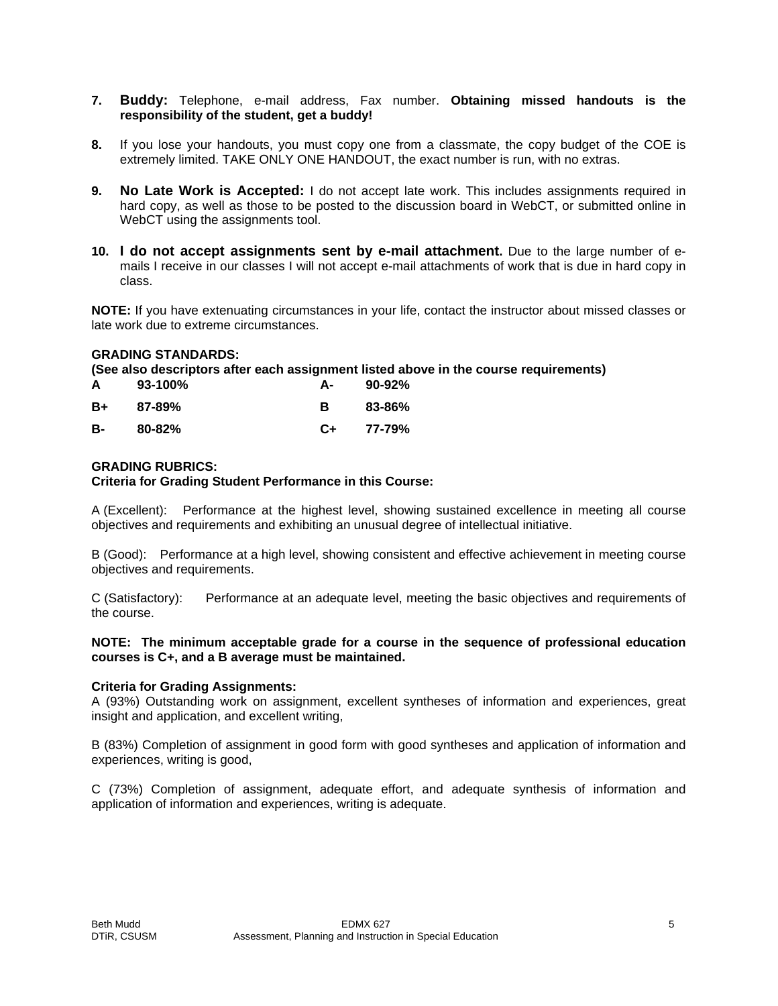# **7. Buddy:** Telephone, e-mail address, Fax number. **Obtaining missed handouts is the responsibility of the student, get a buddy!**

- **8.** If you lose your handouts, you must copy one from a classmate, the copy budget of the COE is extremely limited. TAKE ONLY ONE HANDOUT, the exact number is run, with no extras.
- **9. No Late Work is Accepted:** I do not accept late work. This includes assignments required in hard copy, as well as those to be posted to the discussion board in WebCT, or submitted online in WebCT using the assignments tool.
- **10. I do not accept assignments sent by e-mail attachment.** Due to the large number of emails I receive in our classes I will not accept e-mail attachments of work that is due in hard copy in class.

**NOTE:** If you have extenuating circumstances in your life, contact the instructor about missed classes or late work due to extreme circumstances.

#### **GRADING STANDARDS:**

**(See also descriptors after each assignment listed above in the course requirements)** 

| A  | 93-100%    | А- | $90 - 92%$ |
|----|------------|----|------------|
| B+ | $87 - 89%$ | в  | 83-86%     |
| в- | 80-82%     | C+ | 77-79%     |

#### **GRADING RUBRICS:**

#### **Criteria for Grading Student Performance in this Course:**

A (Excellent): Performance at the highest level, showing sustained excellence in meeting all course objectives and requirements and exhibiting an unusual degree of intellectual initiative.

B (Good): Performance at a high level, showing consistent and effective achievement in meeting course objectives and requirements.

C (Satisfactory): Performance at an adequate level, meeting the basic objectives and requirements of the course.

#### **NOTE: The minimum acceptable grade for a course in the sequence of professional education courses is C+, and a B average must be maintained.**

#### **Criteria for Grading Assignments:**

A (93%) Outstanding work on assignment, excellent syntheses of information and experiences, great insight and application, and excellent writing,

B (83%) Completion of assignment in good form with good syntheses and application of information and experiences, writing is good,

C (73%) Completion of assignment, adequate effort, and adequate synthesis of information and application of information and experiences, writing is adequate.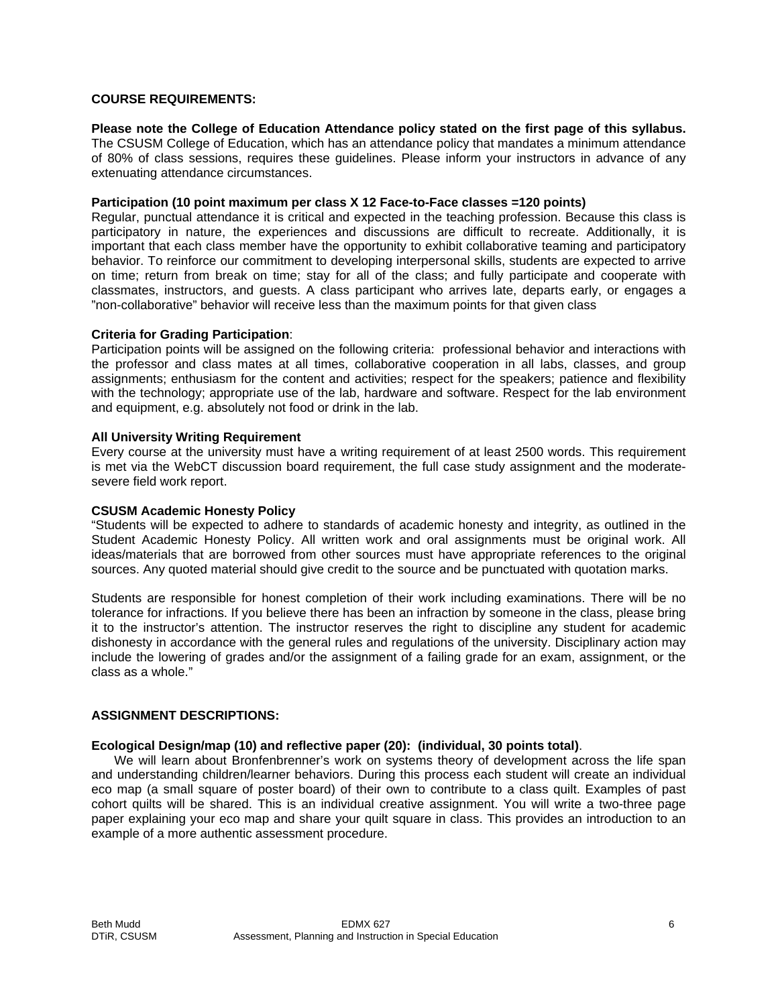#### **COURSE REQUIREMENTS:**

# **Please note the College of Education Attendance policy stated on the first page of this syllabus.**

The CSUSM College of Education, which has an attendance policy that mandates a minimum attendance of 80% of class sessions, requires these guidelines. Please inform your instructors in advance of any extenuating attendance circumstances.

# **Participation (10 point maximum per class X 12 Face-to-Face classes =120 points)**

Regular, punctual attendance it is critical and expected in the teaching profession. Because this class is participatory in nature, the experiences and discussions are difficult to recreate. Additionally, it is important that each class member have the opportunity to exhibit collaborative teaming and participatory behavior. To reinforce our commitment to developing interpersonal skills, students are expected to arrive on time; return from break on time; stay for all of the class; and fully participate and cooperate with classmates, instructors, and guests. A class participant who arrives late, departs early, or engages a "non-collaborative" behavior will receive less than the maximum points for that given class

#### **Criteria for Grading Participation**:

Participation points will be assigned on the following criteria: professional behavior and interactions with the professor and class mates at all times, collaborative cooperation in all labs, classes, and group assignments; enthusiasm for the content and activities; respect for the speakers; patience and flexibility with the technology; appropriate use of the lab, hardware and software. Respect for the lab environment and equipment, e.g. absolutely not food or drink in the lab.

#### **All University Writing Requirement**

Every course at the university must have a writing requirement of at least 2500 words. This requirement is met via the WebCT discussion board requirement, the full case study assignment and the moderatesevere field work report.

#### **CSUSM Academic Honesty Policy**

"Students will be expected to adhere to standards of academic honesty and integrity, as outlined in the Student Academic Honesty Policy. All written work and oral assignments must be original work. All ideas/materials that are borrowed from other sources must have appropriate references to the original sources. Any quoted material should give credit to the source and be punctuated with quotation marks.

Students are responsible for honest completion of their work including examinations. There will be no tolerance for infractions. If you believe there has been an infraction by someone in the class, please bring it to the instructor's attention. The instructor reserves the right to discipline any student for academic dishonesty in accordance with the general rules and regulations of the university. Disciplinary action may include the lowering of grades and/or the assignment of a failing grade for an exam, assignment, or the class as a whole."

#### **ASSIGNMENT DESCRIPTIONS:**

#### **Ecological Design/map (10) and reflective paper (20): (individual, 30 points total)**.

 We will learn about Bronfenbrenner's work on systems theory of development across the life span and understanding children/learner behaviors. During this process each student will create an individual eco map (a small square of poster board) of their own to contribute to a class quilt. Examples of past cohort quilts will be shared. This is an individual creative assignment. You will write a two-three page paper explaining your eco map and share your quilt square in class. This provides an introduction to an example of a more authentic assessment procedure.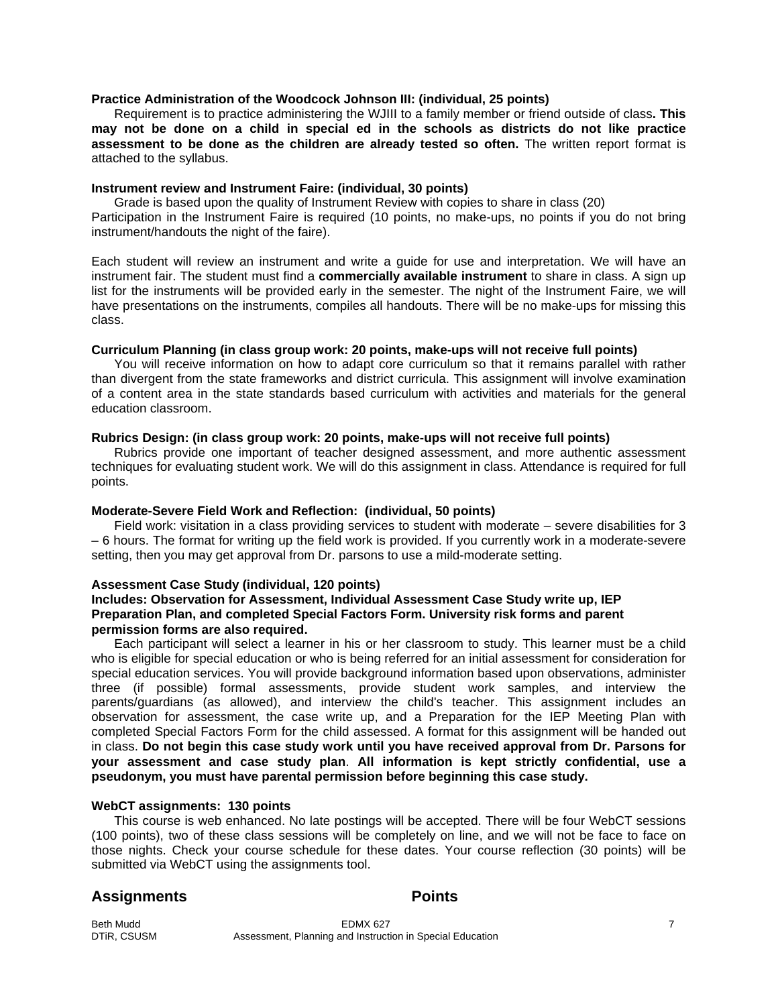#### **Practice Administration of the Woodcock Johnson III: (individual, 25 points)**

 Requirement is to practice administering the WJIII to a family member or friend outside of class**. This may not be done on a child in special ed in the schools as districts do not like practice assessment to be done as the children are already tested so often.** The written report format is attached to the syllabus.

#### **Instrument review and Instrument Faire: (individual, 30 points)**

 Grade is based upon the quality of Instrument Review with copies to share in class (20) Participation in the Instrument Faire is required (10 points, no make-ups, no points if you do not bring instrument/handouts the night of the faire).

Each student will review an instrument and write a guide for use and interpretation. We will have an instrument fair. The student must find a **commercially available instrument** to share in class. A sign up list for the instruments will be provided early in the semester. The night of the Instrument Faire, we will have presentations on the instruments, compiles all handouts. There will be no make-ups for missing this class.

# **Curriculum Planning (in class group work: 20 points, make-ups will not receive full points)**

 You will receive information on how to adapt core curriculum so that it remains parallel with rather than divergent from the state frameworks and district curricula. This assignment will involve examination of a content area in the state standards based curriculum with activities and materials for the general education classroom.

#### **Rubrics Design: (in class group work: 20 points, make-ups will not receive full points)**

 Rubrics provide one important of teacher designed assessment, and more authentic assessment techniques for evaluating student work. We will do this assignment in class. Attendance is required for full points.

# **Moderate-Severe Field Work and Reflection: (individual, 50 points)**

 Field work: visitation in a class providing services to student with moderate – severe disabilities for 3 – 6 hours. The format for writing up the field work is provided. If you currently work in a moderate-severe setting, then you may get approval from Dr. parsons to use a mild-moderate setting.

#### **Assessment Case Study (individual, 120 points)**

#### **Includes: Observation for Assessment, Individual Assessment Case Study write up, IEP Preparation Plan, and completed Special Factors Form. University risk forms and parent permission forms are also required.**

 Each participant will select a learner in his or her classroom to study. This learner must be a child who is eligible for special education or who is being referred for an initial assessment for consideration for special education services. You will provide background information based upon observations, administer three (if possible) formal assessments, provide student work samples, and interview the parents/guardians (as allowed), and interview the child's teacher. This assignment includes an observation for assessment, the case write up, and a Preparation for the IEP Meeting Plan with completed Special Factors Form for the child assessed. A format for this assignment will be handed out in class. **Do not begin this case study work until you have received approval from Dr. Parsons for your assessment and case study plan**. **All information is kept strictly confidential, use a pseudonym, you must have parental permission before beginning this case study.** 

#### **WebCT assignments: 130 points**

 This course is web enhanced. No late postings will be accepted. There will be four WebCT sessions (100 points), two of these class sessions will be completely on line, and we will not be face to face on those nights. Check your course schedule for these dates. Your course reflection (30 points) will be submitted via WebCT using the assignments tool.

### Assignments **Points**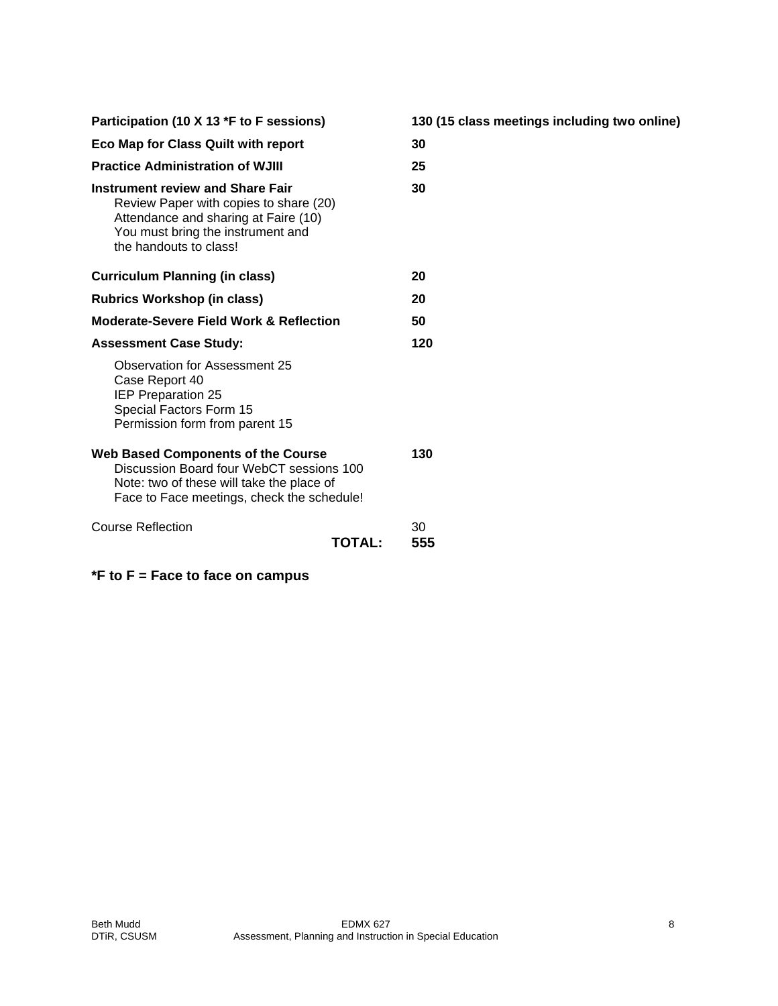| Participation (10 X 13 *F to F sessions)                                                                                                                                                 | 130 (15 class meetings including two online) |
|------------------------------------------------------------------------------------------------------------------------------------------------------------------------------------------|----------------------------------------------|
| Eco Map for Class Quilt with report                                                                                                                                                      | 30                                           |
| <b>Practice Administration of WJIII</b>                                                                                                                                                  | 25                                           |
| <b>Instrument review and Share Fair</b><br>Review Paper with copies to share (20)<br>Attendance and sharing at Faire (10)<br>You must bring the instrument and<br>the handouts to class! | 30                                           |
| <b>Curriculum Planning (in class)</b>                                                                                                                                                    | 20                                           |
| <b>Rubrics Workshop (in class)</b>                                                                                                                                                       | 20                                           |
| <b>Moderate-Severe Field Work &amp; Reflection</b>                                                                                                                                       | 50                                           |
| <b>Assessment Case Study:</b>                                                                                                                                                            | 120                                          |
| Observation for Assessment 25<br>Case Report 40<br><b>IEP Preparation 25</b><br>Special Factors Form 15<br>Permission form from parent 15                                                |                                              |
| <b>Web Based Components of the Course</b><br>Discussion Board four WebCT sessions 100<br>Note: two of these will take the place of<br>Face to Face meetings, check the schedule!         | 130                                          |
| <b>Course Reflection</b><br><b>TOTAL:</b>                                                                                                                                                | 30<br>555                                    |

**\*F to F = Face to face on campus**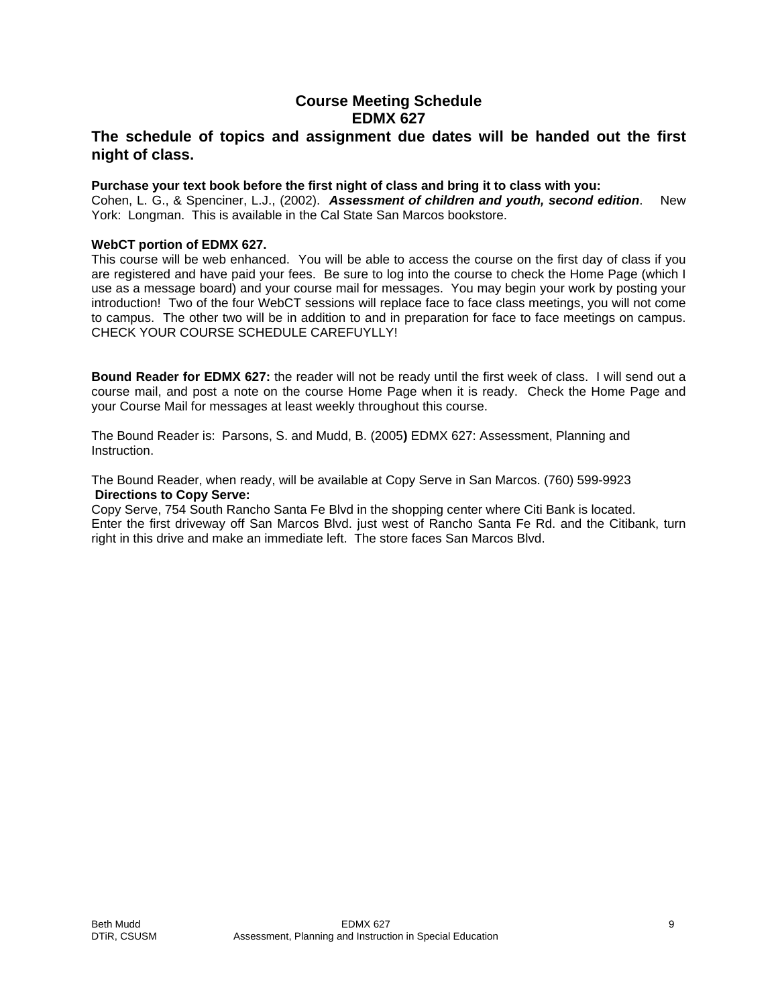# **Course Meeting Schedule EDMX 627**

# **The schedule of topics and assignment due dates will be handed out the first night of class.**

#### **Purchase your text book before the first night of class and bring it to class with you:**

Cohen, L. G., & Spenciner, L.J., (2002). *Assessment of children and youth, second edition*. New York: Longman. This is available in the Cal State San Marcos bookstore.

#### **WebCT portion of EDMX 627.**

This course will be web enhanced. You will be able to access the course on the first day of class if you are registered and have paid your fees. Be sure to log into the course to check the Home Page (which I use as a message board) and your course mail for messages. You may begin your work by posting your introduction! Two of the four WebCT sessions will replace face to face class meetings, you will not come to campus. The other two will be in addition to and in preparation for face to face meetings on campus. CHECK YOUR COURSE SCHEDULE CAREFUYLLY!

**Bound Reader for EDMX 627:** the reader will not be ready until the first week of class. I will send out a course mail, and post a note on the course Home Page when it is ready. Check the Home Page and your Course Mail for messages at least weekly throughout this course.

The Bound Reader is: Parsons, S. and Mudd, B. (2005**)** EDMX 627: Assessment, Planning and Instruction.

The Bound Reader, when ready, will be available at Copy Serve in San Marcos. (760) 599-9923 **Directions to Copy Serve:** 

Copy Serve, 754 South Rancho Santa Fe Blvd in the shopping center where Citi Bank is located. Enter the first driveway off San Marcos Blvd. just west of Rancho Santa Fe Rd. and the Citibank, turn right in this drive and make an immediate left. The store faces San Marcos Blvd.